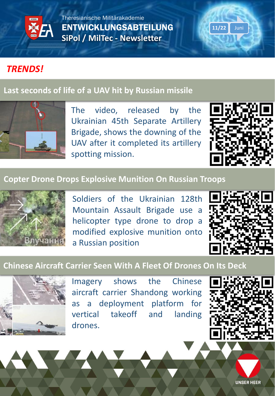

Theresianische Militärakademie ENTWICKLUNGSABTEILUNG **SiPol / MilTec - Newsletter**

# *TRENDS!*

## **[Last seconds of life of a UAV hit by Russian missile](https://theaviationist.com/2022/06/09/ukrainian-uav-hit-by-russian-missile/)**



The video, released by the Ukrainian 45th Separate Artillery Brigade, shows the downing of the UAV after it completed its artillery spotting mission.



**11/22** Juni

#### **[Copter Drone Drops Explosive Munition On Russian Troops](https://funker530.com/video/copter-drone-drops-explosive-munition-on-russian-troops/?ref=app)**



Soldiers of the Ukrainian 128th Mountain Assault Brigade use a helicopter type drone to drop a modified explosive munition onto a Russian position



#### **[Chinese Aircraft Carrier Seen With A Fleet Of Drones On Its Deck](https://www.thedrive.com/the-war-zone/chinese-aircraft-carrier-seen-with-fleet-of-drones-onboard)**



Imagery shows the Chinese aircraft carrier Shandong working as a deployment platform for vertical takeoff and landing drones.



**UNSER HEER**